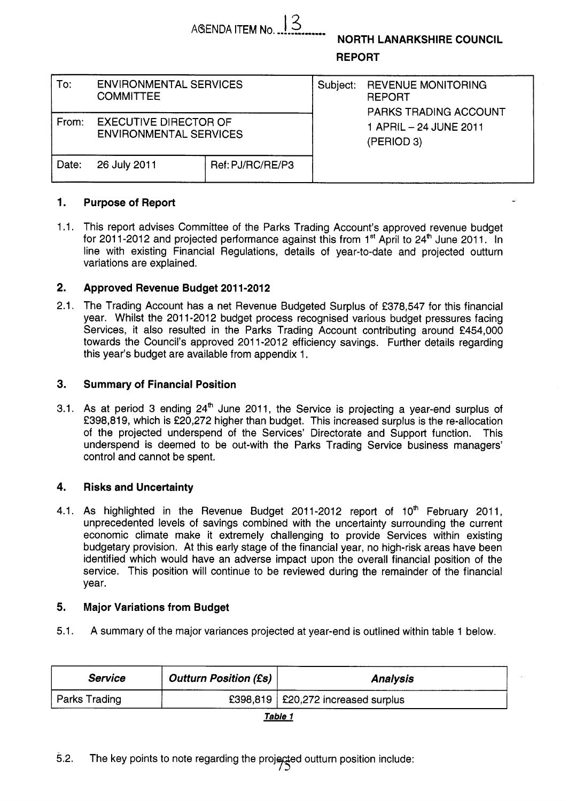| AGENDA ITEM No. ! |  |
|-------------------|--|

**NORTH LANARKSHIRE COUNCIL** 

**REPORT** 

| To:   | <b>ENVIRONMENTAL SERVICES</b><br><b>COMMITTEE</b>             |                  | Subject: | <b>REVENUE MONITORING</b><br><b>REPORT</b><br>PARKS TRADING ACCOUNT |  |  |
|-------|---------------------------------------------------------------|------------------|----------|---------------------------------------------------------------------|--|--|
| From: | <b>EXECUTIVE DIRECTOR OF</b><br><b>ENVIRONMENTAL SERVICES</b> |                  |          | 1 APRIL - 24 JUNE 2011<br>(PERIOD 3)                                |  |  |
| Date: | 26 July 2011                                                  | Ref: PJ/RC/RE/P3 |          |                                                                     |  |  |

## **1. Purpose of Report**

1.1. This report advises Committee of the Parks Trading Account's approved revenue budget for 2011-2012 and projected performance against this from  $1<sup>st</sup>$  April to 24<sup>th</sup> June 2011. In line with existing Financial Regulations, details of year-to-date and projected outturn variations are explained.

## **2. Approved Revenue Budget 201 1-201 2**

2.1. The Trading Account has a net Revenue Budgeted Surplus of €378,547 for this financial year. Whilst the 2011-2012 budget process recognised various budget pressures facing Services, it also resulted in the Parks Trading Account contributing around €454,000 towards the Council's approved 2011-2012 efficiency savings. Further details regarding this year's budget are available from appendix 1.

## **3. Summary of Financial Position**

3.1. As at period 3 ending 24' June 2011, the Service is projecting a year-end surplus of €398,819, which is €20,272 higher than budget. This increased surplus is the re-allocation of the projected underspend of the Services' Directorate and Support function. This underspend is deemed to be out-with the Parks Trading Service business managers' control and cannot be spent.

# **4. Risks and Uncertainty**

4.1. As highlighted in the Revenue Budget 2011-2012 report of 10<sup>th</sup> February 2011, unprecedented levels of savings combined with the uncertainty surrounding the current economic climate make it extremely challenging to provide Services within existing budgetary provision. At this early stage of the financial year, no high-risk areas have been identified which would have an adverse impact upon the overall financial position of the service. This position will continue to be reviewed during the remainder of the financial year.

## **5. Major Variations from Budget**

5.1. A summary of the major variances projected at year-end is outlined within table 1 below.

| <b>Service</b> | <b>Outturn Position (£s)</b> | <b>Analysis</b>                            |
|----------------|------------------------------|--------------------------------------------|
| Parks Trading  |                              | £398,819 $\vert$ £20,272 increased surplus |

*Table 1*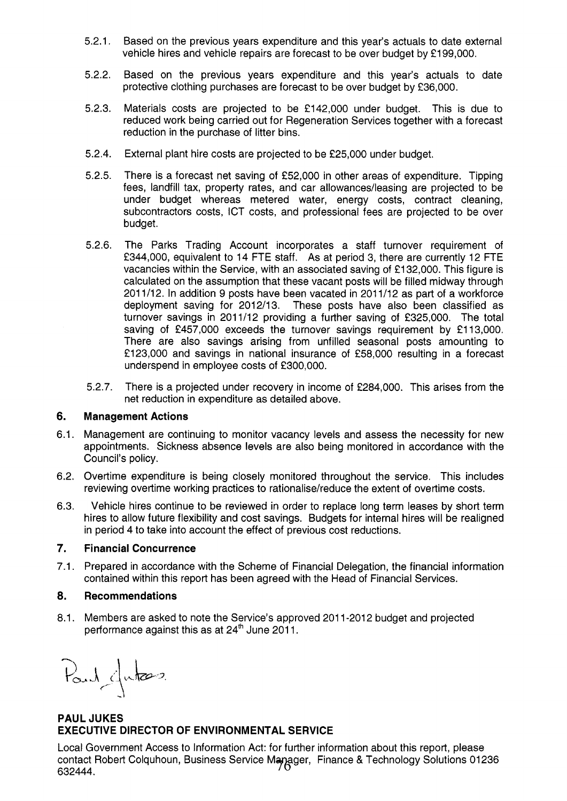- 5.2.1. Based on the previous years expenditure and this year's actuals to date external vehicle hires and vehicle repairs are forecast to be over budget by €1 99,000.
- 5.2.2. Based on the previous years expenditure and this year's actuals to date protective clothing purchases are forecast to be over budget by €36,000.
- 5.2.3. Materials costs are projected to be €142,000 under budget. This is due to reduced work being carried out for Regeneration Services together with a forecast reduction in the purchase of litter bins.
- 5.2.4. External plant hire costs are projected to be €25,000 under budget.
- 5.2.5. There is a forecast net saving of €52,000 in other areas of expenditure. Tipping fees, landfill tax, property rates, and car allowances/leasing are projected to be under budget whereas metered water, energy costs, contract cleaning, subcontractors costs, ICT costs, and professional fees are projected to be over budget.
- 5.2.6. The Parks Trading Account incorporates a staff turnover requirement of £344,000, equivalent to 14 FTE staff. As at period 3, there are currently 12 FTE vacancies within the Service, with an associated saving of €1 32,000. This figure is calculated on the assumption that these vacant posts will be filled midway through 201 1/12. In addition 9 posts have been vacated in 201 1/12 as part of a workforce deployment saving for 2012/13. These posts have also been classified as turnover savings in 2011/12 providing a further saving of £325,000. The total saving of £457,000 exceeds the turnover savings requirement by £113,000. There are also savings arising from unfilled seasonal posts amounting to €123,000 and savings in national insurance of €58,000 resulting in a forecast underspend in employee costs of €300,000.
- 5.2.7. There is a projected under recovery in income of €284,000. This arises from the net reduction in expenditure as detailed above.

#### **6. Management Actions**

- 6.1. Management are continuing to monitor vacancy levels and assess the necessity for new appointments. Sickness absence levels are also being monitored in accordance with the Council's policy.
- 6.2. Overtime expenditure is being closely monitored throughout the service. This includes reviewing overtime working practices to rationalise/reduce the extent of overtime costs.
- 6.3. Vehicle hires continue to be reviewed in order to replace long term leases by short term hires to allow future flexibility and cost savings. Budgets for internal hires will be realigned in period 4 to take into account the effect of previous cost reductions.

#### *7.*  **Financial Concurrence**

**7.1.**  Prepared in accordance with the Scheme of Financial Delegation, the financial information contained within this report has been agreed with the Head of Financial Services.

#### **a. Recommendations**

8.1. Members are asked to note the Service's approved 2011-2012 budget and projected performance against this as at 24<sup>th</sup> June 2011.

Paul duties

# **PAUL JUKES EXECUTIVE DIRECTOR OF ENVIRONMENTAL SERVICE**

Local Government Access to Information Act: for further information about this report, please contact Robert Colquhoun, Business Service Manager, Finance & Technology Solutions 01236 632444.